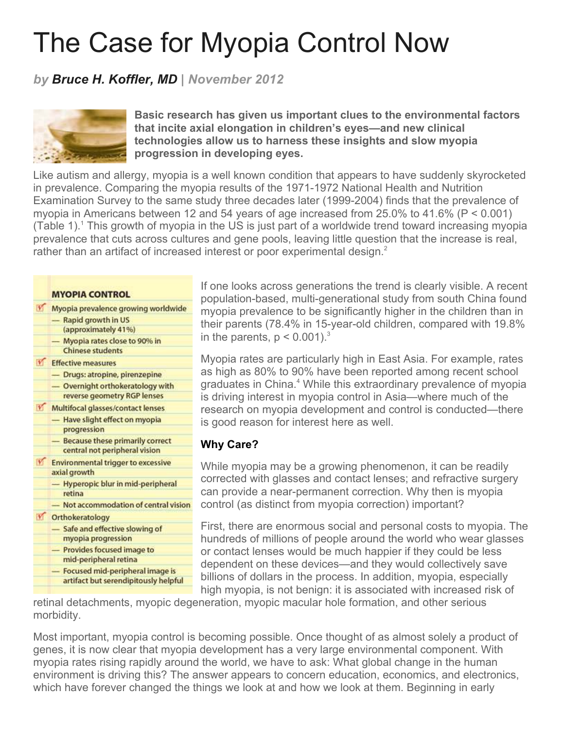# The Case for Myopia Control Now

# *by Bruce H. Koffler, MD | November 2012*



**Basic research has given us important clues to the environmental factors that incite axial elongation in children's eyes—and new clinical technologies allow us to harness these insights and slow myopia progression in developing eyes.**

Like autism and allergy, myopia is a well known condition that appears to have suddenly skyrocketed in prevalence. Comparing the myopia results of the 1971-1972 National Health and Nutrition Examination Survey to the same study three decades later (1999-2004) finds that the prevalence of myopia in Americans between 12 and 54 years of age increased from 25.0% to 41.6% (P < 0.001) (Table 1).<sup>1</sup> This growth of myopia in the US is just part of a worldwide trend toward increasing myopia prevalence that cuts across cultures and gene pools, leaving little question that the increase is real, rather than an artifact of increased interest or poor experimental design. $<sup>2</sup>$ </sup>

|              | <b>MYOPIA CONTROL</b>                      |
|--------------|--------------------------------------------|
| M            | Myopia prevalence growing worldwide        |
|              | Rapid growth in US<br>-                    |
|              | (approximately 41%)                        |
|              | Myopia rates close to 90% in               |
|              | <b>Chinese students</b>                    |
| $\mathbf{V}$ | <b>Effective measures</b>                  |
|              | - Drugs: atropine, pirenzepine             |
|              | Overnight orthokeratology with             |
|              | reverse geometry RGP lenses                |
| V.           | Multifocal glasses/contact lenses          |
|              | Have slight effect on myopia               |
|              | progression                                |
|              | <b>Because these primarily correct</b>     |
|              | central not peripheral vision              |
| <b>V</b>     | <b>Environmental trigger to excessive</b>  |
|              | axial growth                               |
|              | Hyperopic blur in mid-peripheral<br>retina |
|              | Not accommodation of central vision        |
|              | Orthokeratology                            |
|              | Safe and effective slowing of<br>-         |
|              | myopia progression                         |
|              | Provides focused image to                  |
|              | mid-peripheral retina                      |
|              | Focused mid-peripheral image is            |
|              | artifact but serendipitously helpful       |

If one looks across generations the trend is clearly visible. A recent population-based, multi-generational study from south China found myopia prevalence to be significantly higher in the children than in their parents (78.4% in 15-year-old children, compared with 19.8% in the parents,  $p < 0.001$ ).<sup>3</sup>

Myopia rates are particularly high in East Asia. For example, rates as high as 80% to 90% have been reported among recent school graduates in China.<sup>4</sup> While this extraordinary prevalence of myopia is driving interest in myopia control in Asia—where much of the research on myopia development and control is conducted—there is good reason for interest here as well.

### **Why Care?**

While myopia may be a growing phenomenon, it can be readily corrected with glasses and contact lenses; and refractive surgery can provide a near-permanent correction. Why then is myopia control (as distinct from myopia correction) important?

First, there are enormous social and personal costs to myopia. The hundreds of millions of people around the world who wear glasses or contact lenses would be much happier if they could be less dependent on these devices—and they would collectively save billions of dollars in the process. In addition, myopia, especially high myopia, is not benign: it is associated with increased risk of

retinal detachments, myopic degeneration, myopic macular hole formation, and other serious morbidity.

Most important, myopia control is becoming possible. Once thought of as almost solely a product of genes, it is now clear that myopia development has a very large environmental component. With myopia rates rising rapidly around the world, we have to ask: What global change in the human environment is driving this? The answer appears to concern education, economics, and electronics, which have forever changed the things we look at and how we look at them. Beginning in early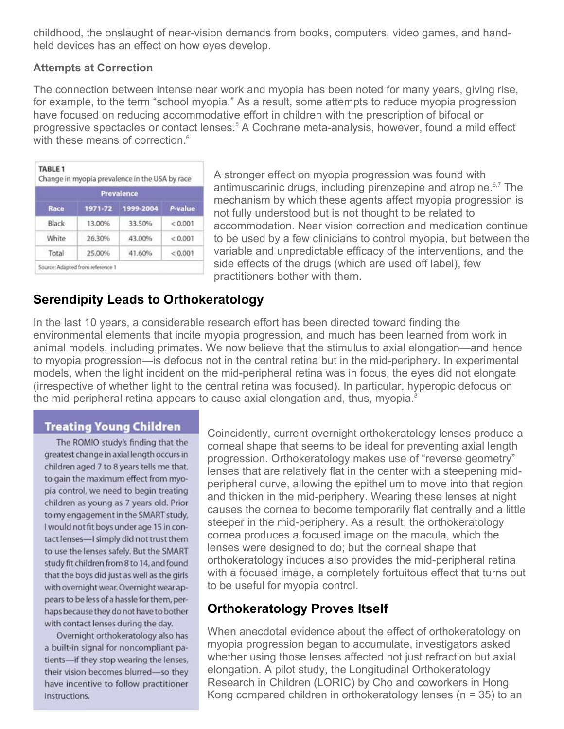childhood, the onslaught of near-vision demands from books, computers, video games, and handheld devices has an effect on how eyes develop.

#### **Attempts at Correction**

The connection between intense near work and myopia has been noted for many years, giving rise, for example, to the term "school myopia." As a result, some attempts to reduce myopia progression have focused on reducing accommodative effort in children with the prescription of bifocal or progressive spectacles or contact lenses.<sup>5</sup> A Cochrane meta-analysis, however, found a mild effect with these means of correction.<sup>6</sup>

| Prevalence |         |           |         |  |  |
|------------|---------|-----------|---------|--|--|
| Race       | 1971-72 | 1999-2004 | P-value |  |  |
| Black      | 13.00%  | 33.50%    | < 0.001 |  |  |
| White      | 26.30%  | 43.00%    | < 0.001 |  |  |
| Total      | 25.00%  | 41.60%    | < 0.001 |  |  |

A stronger effect on myopia progression was found with antimuscarinic drugs, including pirenzepine and atropine. $6,7$  The mechanism by which these agents affect myopia progression is not fully understood but is not thought to be related to accommodation. Near vision correction and medication continue to be used by a few clinicians to control myopia, but between the variable and unpredictable efficacy of the interventions, and the side effects of the drugs (which are used off label), few practitioners bother with them.

## **Serendipity Leads to Orthokeratology**

In the last 10 years, a considerable research effort has been directed toward finding the environmental elements that incite myopia progression, and much has been learned from work in animal models, including primates. We now believe that the stimulus to axial elongation—and hence to myopia progression—is defocus not in the central retina but in the mid-periphery. In experimental models, when the light incident on the mid-peripheral retina was in focus, the eyes did not elongate (irrespective of whether light to the central retina was focused). In particular, hyperopic defocus on the mid-peripheral retina appears to cause axial elongation and, thus, myopia. $\textdegree$ 

#### **Treating Young Children**

The ROMIO study's finding that the greatest change in axial length occurs in children aged 7 to 8 years tells me that, to gain the maximum effect from myopia control, we need to begin treating children as young as 7 years old. Prior to my engagement in the SMART study. I would not fit boys under age 15 in contact lenses-I simply did not trust them to use the lenses safely. But the SMART study fit children from 8 to 14, and found that the boys did just as well as the girls with overnight wear. Overnight wear appears to be less of a hassle for them, perhaps because they do not have to bother with contact lenses during the day.

Overnight orthokeratology also has a built-in signal for noncompliant patients-if they stop wearing the lenses, their vision becomes blurred-so they have incentive to follow practitioner instructions.

Coincidently, current overnight orthokeratology lenses produce a corneal shape that seems to be ideal for preventing axial length progression. Orthokeratology makes use of "reverse geometry" lenses that are relatively flat in the center with a steepening midperipheral curve, allowing the epithelium to move into that region and thicken in the mid-periphery. Wearing these lenses at night causes the cornea to become temporarily flat centrally and a little steeper in the mid-periphery. As a result, the orthokeratology cornea produces a focused image on the macula, which the lenses were designed to do; but the corneal shape that orthokeratology induces also provides the mid-peripheral retina with a focused image, a completely fortuitous effect that turns out to be useful for myopia control.

# **Orthokeratology Proves Itself**

When anecdotal evidence about the effect of orthokeratology on myopia progression began to accumulate, investigators asked whether using those lenses affected not just refraction but axial elongation. A pilot study, the Longitudinal Orthokeratology Research in Children (LORIC) by Cho and coworkers in Hong Kong compared children in orthokeratology lenses (n = 35) to an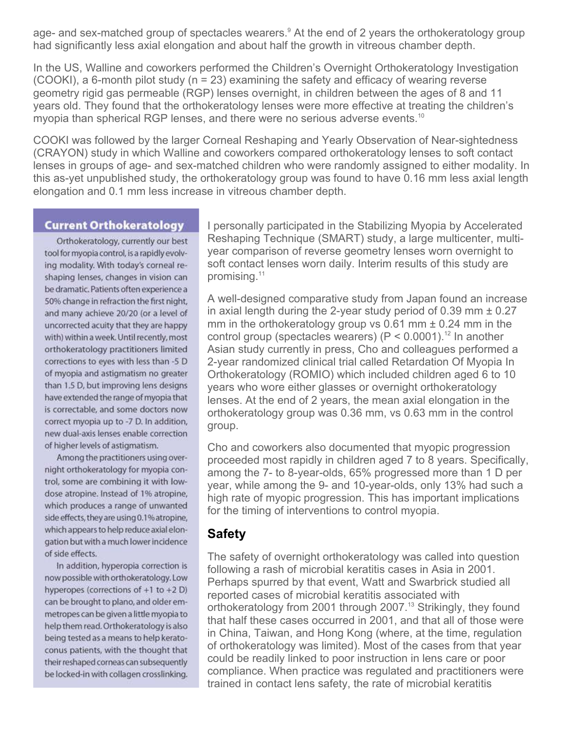age- and sex-matched group of spectacles wearers.<sup>9</sup> At the end of 2 years the orthokeratology group had significantly less axial elongation and about half the growth in vitreous chamber depth.

In the US, Walline and coworkers performed the Children's Overnight Orthokeratology Investigation (COOKI), a 6-month pilot study (n = 23) examining the safety and efficacy of wearing reverse geometry rigid gas permeable (RGP) lenses overnight, in children between the ages of 8 and 11 years old. They found that the orthokeratology lenses were more effective at treating the children's myopia than spherical RGP lenses, and there were no serious adverse events.<sup>10</sup>

COOKI was followed by the larger Corneal Reshaping and Yearly Observation of Near-sightedness (CRAYON) study in which Walline and coworkers compared orthokeratology lenses to soft contact lenses in groups of age- and sex-matched children who were randomly assigned to either modality. In this as-yet unpublished study, the orthokeratology group was found to have 0.16 mm less axial length elongation and 0.1 mm less increase in vitreous chamber depth.

#### **Current Orthokeratology**

Orthokeratology, currently our best tool for myopia control, is a rapidly evolving modality. With today's corneal reshaping lenses, changes in vision can be dramatic. Patients often experience a 50% change in refraction the first night, and many achieve 20/20 (or a level of uncorrected acuity that they are happy with) within a week. Until recently, most orthokeratology practitioners limited corrections to eyes with less than -5 D of myopia and astigmatism no greater than 1.5 D, but improving lens designs have extended the range of myopia that is correctable, and some doctors now correct myopia up to -7 D. In addition, new dual-axis lenses enable correction of higher levels of astigmatism.

Among the practitioners using overnight orthokeratology for myopia control, some are combining it with lowdose atropine. Instead of 1% atropine, which produces a range of unwanted side effects, they are using 0.1% atropine, which appears to help reduce axial elongation but with a much lower incidence of side effects.

In addition, hyperopia correction is now possible with orthokeratology. Low hyperopes (corrections of  $+1$  to  $+2$  D) can be brought to plano, and older emmetropes can be given a little myopia to help them read. Orthokeratology is also being tested as a means to help keratoconus patients, with the thought that their reshaped corneas can subsequently be locked-in with collagen crosslinking.

I personally participated in the Stabilizing Myopia by Accelerated Reshaping Technique (SMART) study, a large multicenter, multiyear comparison of reverse geometry lenses worn overnight to soft contact lenses worn daily. Interim results of this study are promising.<sup>11</sup>

A well-designed comparative study from Japan found an increase in axial length during the 2-year study period of 0.39 mm ± 0.27 mm in the orthokeratology group vs  $0.61$  mm  $\pm$  0.24 mm in the control group (spectacles wearers) ( $P < 0.0001$ ).<sup>12</sup> In another Asian study currently in press, Cho and colleagues performed a 2-year randomized clinical trial called Retardation Of Myopia In Orthokeratology (ROMIO) which included children aged 6 to 10 years who wore either glasses or overnight orthokeratology lenses. At the end of 2 years, the mean axial elongation in the orthokeratology group was 0.36 mm, vs 0.63 mm in the control group.

Cho and coworkers also documented that myopic progression proceeded most rapidly in children aged 7 to 8 years. Specifically, among the 7- to 8-year-olds, 65% progressed more than 1 D per year, while among the 9- and 10-year-olds, only 13% had such a high rate of myopic progression. This has important implications for the timing of interventions to control myopia.

### **Safety**

The safety of overnight orthokeratology was called into question following a rash of microbial keratitis cases in Asia in 2001. Perhaps spurred by that event, Watt and Swarbrick studied all reported cases of microbial keratitis associated with orthokeratology from 2001 through 2007.<sup>13</sup> Strikingly, they found that half these cases occurred in 2001, and that all of those were in China, Taiwan, and Hong Kong (where, at the time, regulation of orthokeratology was limited). Most of the cases from that year could be readily linked to poor instruction in lens care or poor compliance. When practice was regulated and practitioners were trained in contact lens safety, the rate of microbial keratitis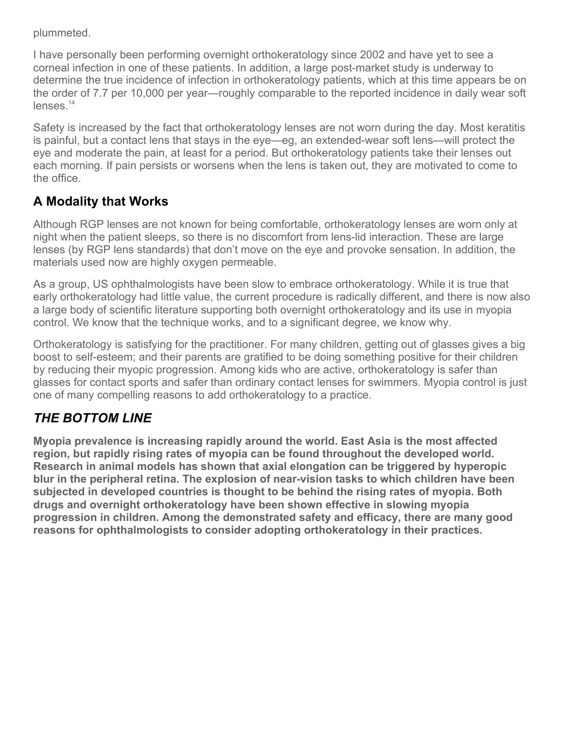plummeted.

I have personally been performing overnight orthokeratology since 2002 and have yet to see a corneal infection in one of these patients. In addition, a large post-market study is underway to determine the true incidence of infection in orthokeratology patients, which at this time appears be on the order of 7.7 per 10,000 per year—roughly comparable to the reported incidence in daily wear soft lenses.<sup>14</sup>

Safety is increased by the fact that orthokeratology lenses are not worn during the day. Most keratitis is painful, but a contact lens that stays in the eye—eg, an extended-wear soft lens—will protect the eye and moderate the pain, at least for a period. But orthokeratology patients take their lenses out each morning. If pain persists or worsens when the lens is taken out, they are motivated to come to the office.

# **A Modality that Works**

Although RGP lenses are not known for being comfortable, orthokeratology lenses are worn only at night when the patient sleeps, so there is no discomfort from lens-lid interaction. These are large lenses (by RGP lens standards) that don't move on the eye and provoke sensation. In addition, the materials used now are highly oxygen permeable.

As a group, US ophthalmologists have been slow to embrace orthokeratology. While it is true that early orthokeratology had little value, the current procedure is radically different, and there is now also a large body of scientific literature supporting both overnight orthokeratology and its use in myopia control. We know that the technique works, and to a significant degree, we know why.

Orthokeratology is satisfying for the practitioner. For many children, getting out of glasses gives a big boost to self-esteem; and their parents are gratified to be doing something positive for their children by reducing their myopic progression. Among kids who are active, orthokeratology is safer than glasses for contact sports and safer than ordinary contact lenses for swimmers. Myopia control is just one of many compelling reasons to add orthokeratology to a practice.

# *THE BOTTOM LINE*

**Myopia prevalence is increasing rapidly around the world. East Asia is the most affected region, but rapidly rising rates of myopia can be found throughout the developed world. Research in animal models has shown that axial elongation can be triggered by hyperopic blur in the peripheral retina. The explosion of near-vision tasks to which children have been subjected in developed countries is thought to be behind the rising rates of myopia. Both drugs and overnight orthokeratology have been shown effective in slowing myopia progression in children. Among the demonstrated safety and efficacy, there are many good reasons for ophthalmologists to consider adopting orthokeratology in their practices.**